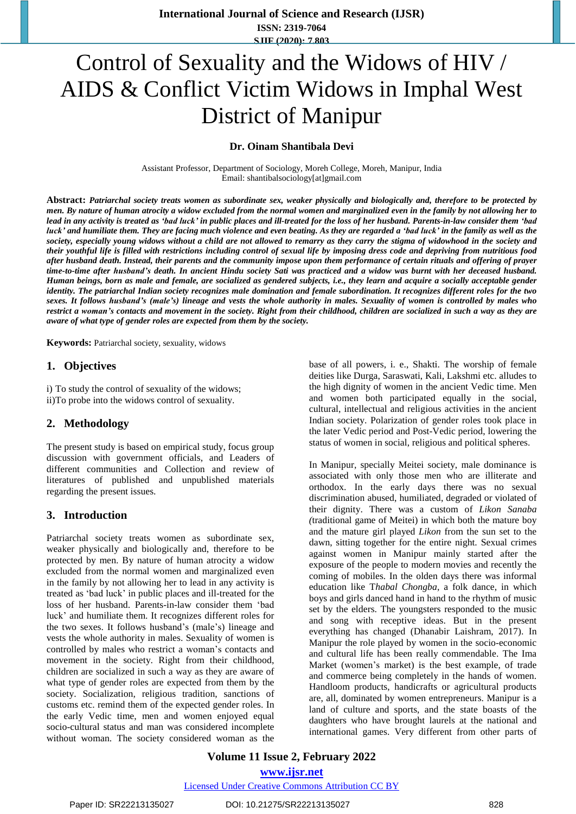# Control of Sexuality and the Widows of HIV / AIDS & Conflict Victim Widows in Imphal West District of Manipur

**Dr. Oinam Shantibala Devi**

Assistant Professor, Department of Sociology, Moreh College, Moreh, Manipur, India Email: shantibalsociology[at]gmail.com

Abstract: Patriarchal society treats women as subordinate sex, weaker physically and biologically and, therefore to be protected by men. By nature of human atrocity a widow excluded from the normal women and marginalized even in the family by not allowing her to lead in any activity is treated as 'bad luck' in public places and ill-treated for the loss of her husband. Parents-in-law consider them 'bad luck' and humiliate them. They are facing much violence and even beating. As they are regarded a 'bad luck' in the family as well as the society, especially young widows without a child are not allowed to remarry as they carry the stigma of widowhood in the society and their youthful life is filled with restrictions including control of sexual life by imposing dress code and depriving from nutritious food after husband death. Instead, their parents and the community impose upon them performance of certain rituals and offering of prayer time-to-time after husband's death. In ancient Hindu society Sati was practiced and a widow was burnt with her deceased husband. Human beings, born as male and female, are socialized as gendered subjects, i.e., they learn and acquire a socially acceptable gender identity. The patriarchal Indian society recognizes male domination and female subordination. It recognizes different roles for the two sexes. It follows husband's (male's) lineage and vests the whole authority in males. Sexuality of women is controlled by males who restrict a woman's contacts and movement in the society. Right from their childhood, children are socialized in such a way as they are *aware of what type of gender roles are expected from them by the society.*

**Keywords:** Patriarchal society, sexuality, widows

## **1. Objectives**

i) To study the control of sexuality of the widows; ii)To probe into the widows control of sexuality.

## **2. Methodology**

The present study is based on empirical study, focus group discussion with government officials, and Leaders of different communities and Collection and review of literatures of published and unpublished materials regarding the present issues.

## **3. Introduction**

Patriarchal society treats women as subordinate sex, weaker physically and biologically and, therefore to be protected by men. By nature of human atrocity a widow excluded from the normal women and marginalized even in the family by not allowing her to lead in any activity is treated as 'bad luck' in public places and ill-treated for the loss of her husband. Parents-in-law consider them 'bad luck' and humiliate them. It recognizes different roles for the two sexes. It follows husband's (male's) lineage and vests the whole authority in males. Sexuality of women is controlled by males who restrict a woman's contacts and movement in the society. Right from their childhood, children are socialized in such a way as they are aware of what type of gender roles are expected from them by the society. Socialization, religious tradition, sanctions of customs etc. remind them of the expected gender roles. In the early Vedic time, men and women enjoyed equal socio-cultural status and man was considered incomplete without woman. The society considered woman as the

base of all powers, i. e., Shakti. The worship of female deities like Durga, Saraswati, Kali, Lakshmi etc. alludes to the high dignity of women in the ancient Vedic time. Men and women both participated equally in the social, cultural, intellectual and religious activities in the ancient Indian society. Polarization of gender roles took place in the later Vedic period and Post-Vedic period, lowering the status of women in social, religious and political spheres.

In Manipur, specially Meitei society, male dominance is associated with only those men who are illiterate and orthodox. In the early days there was no sexual discrimination abused, humiliated, degraded or violated of their dignity. There was a custom of *Likon Sanaba (*traditional game of Meitei) in which both the mature boy and the mature girl played *Likon* from the sun set to the dawn, sitting together for the entire night. Sexual crimes against women in Manipur mainly started after the exposure of the people to modern movies and recently the coming of mobiles. In the olden days there was informal education like T*habal Chongba*, a folk dance, in which boys and girls danced hand in hand to the rhythm of music set by the elders. The youngsters responded to the music and song with receptive ideas. But in the present everything has changed (Dhanabir Laishram, 2017). In Manipur the role played by women in the socio-economic and cultural life has been really commendable. The Ima Market (women's market) is the best example, of trade and commerce being completely in the hands of women. Handloom products, handicrafts or agricultural products are, all, dominated by women entrepreneurs. Manipur is a land of culture and sports, and the state boasts of the daughters who have brought laurels at the national and international games. Very different from other parts of

**Volume 11 Issue 2, February 2022**

**www.ijsr.net**

Licensed Under Creative Commons Attribution CC BY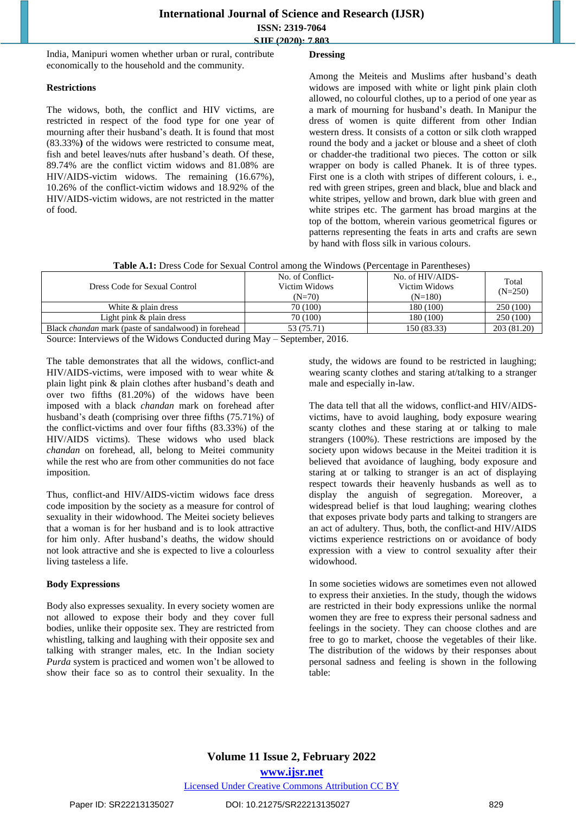India, Manipuri women whether urban or rural, contribute economically to the household and the community.

#### **Restrictions**

The widows, both, the conflict and HIV victims, are restricted in respect of the food type for one year of mourning after their husband's death. It is found that most (83.33%**)** of the widows were restricted to consume meat, fish and betel leaves/nuts after husband's death. Of these, 89.74% are the conflict victim widows and 81.08% are HIV/AIDS-victim widows. The remaining (16.67%), 10.26% of the conflict-victim widows and 18.92% of the HIV/AIDS-victim widows, are not restricted in the matter of food.

## **Dressing**

Among the Meiteis and Muslims after husband's death widows are imposed with white or light pink plain cloth allowed, no colourful clothes, up to a period of one year as a mark of mourning for husband's death. In Manipur the dress of women is quite different from other Indian western dress. It consists of a cotton or silk cloth wrapped round the body and a jacket or blouse and a sheet of cloth or chadder-the traditional two pieces. The cotton or silk wrapper on body is called Phanek. It is of three types. First one is a cloth with stripes of different colours, i. e., red with green stripes, green and black, blue and black and white stripes, yellow and brown, dark blue with green and white stripes etc. The garment has broad margins at the top of the bottom, wherein various geometrical figures or patterns representing the feats in arts and crafts are sewn by hand with floss silk in various colours.

| Table A.1: Dress Code for Sexual Control among the Windows (Percentage in Parentheses) |  |
|----------------------------------------------------------------------------------------|--|
|----------------------------------------------------------------------------------------|--|

| Dress Code for Sexual Control                               | No. of Conflict-<br>Victim Widows<br>$(N=70)$ | No. of HIV/AIDS-<br>Victim Widows<br>$(N=180)$ | Total<br>$(N=250)$ |  |
|-------------------------------------------------------------|-----------------------------------------------|------------------------------------------------|--------------------|--|
| White & plain dress                                         | 70 (100)                                      | 180 (100)                                      | 250 (100)          |  |
| Light pink $\&$ plain dress                                 | 70 (100)                                      | 180 (100)                                      | 250 (100)          |  |
| Black <i>chandan</i> mark (paste of sandalwood) in forehead | 53 (75.71)                                    | 150 (83.33)                                    | 203 (81.20)        |  |

Source: Interviews of the Widows Conducted during May – September, 2016.

The table demonstrates that all the widows, conflict-and HIV/AIDS-victims, were imposed with to wear white  $\&$ plain light pink & plain clothes after husband's death and over two fifths (81.20%) of the widows have been imposed with a black *chandan* mark on forehead after husband's death (comprising over three fifths (75.71%) of the conflict-victims and over four fifths (83.33%) of the HIV/AIDS victims). These widows who used black *chandan* on forehead, all, belong to Meitei community while the rest who are from other communities do not face imposition.

Thus, conflict-and HIV/AIDS-victim widows face dress code imposition by the society as a measure for control of sexuality in their widowhood. The Meitei society believes that a woman is for her husband and is to look attractive for him only. After husband's deaths, the widow should not look attractive and she is expected to live a colourless living tasteless a life.

## **Body Expressions**

Body also expresses sexuality. In every society women are not allowed to expose their body and they cover full bodies, unlike their opposite sex. They are restricted from whistling, talking and laughing with their opposite sex and talking with stranger males, etc. In the Indian society *Purda* system is practiced and women won't be allowed to show their face so as to control their sexuality. In the

study, the widows are found to be restricted in laughing; wearing scanty clothes and staring at/talking to a stranger male and especially in-law.

The data tell that all the widows, conflict-and HIV/AIDSvictims, have to avoid laughing, body exposure wearing scanty clothes and these staring at or talking to male strangers (100%). These restrictions are imposed by the society upon widows because in the Meitei tradition it is believed that avoidance of laughing, body exposure and staring at or talking to stranger is an act of displaying respect towards their heavenly husbands as well as to display the anguish of segregation. Moreover, a widespread belief is that loud laughing; wearing clothes that exposes private body parts and talking to strangers are an act of adultery. Thus, both, the conflict-and HIV/AIDS victims experience restrictions on or avoidance of body expression with a view to control sexuality after their widowhood.

In some societies widows are sometimes even not allowed to express their anxieties. In the study, though the widows are restricted in their body expressions unlike the normal women they are free to express their personal sadness and feelings in the society. They can choose clothes and are free to go to market, choose the vegetables of their like. The distribution of the widows by their responses about personal sadness and feeling is shown in the following table:

# **Volume 11 Issue 2, February 2022 www.ijsr.net** Licensed Under Creative Commons Attribution CC BY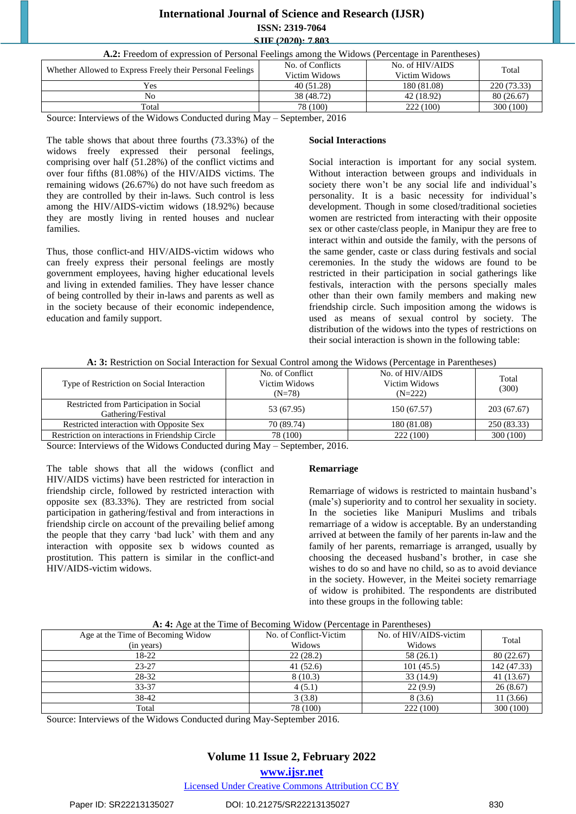# **International Journal of Science and Research (IJSR)**

**ISSN: 2319-7064**

### **SJIF (2020): 7.803**

| <b>A.2:</b> Freedom of expression of Personal Feelings among the Widows (Percentage in Parentheses) |                  |                 |             |  |
|-----------------------------------------------------------------------------------------------------|------------------|-----------------|-------------|--|
| Whether Allowed to Express Freely their Personal Feelings                                           | No. of Conflicts | No. of HIV/AIDS | Total       |  |
|                                                                                                     | Victim Widows    | Victim Widows   |             |  |
| Yes                                                                                                 | 40(51.28)        | 180 (81.08)     | 220 (73.33) |  |
| No                                                                                                  | 38 (48.72)       | 42 (18.92)      | 80(26.67)   |  |
| Total                                                                                               | 78 (100)         | 222 (100)       | 300 (100)   |  |

Source: Interviews of the Widows Conducted during May – September, 2016

The table shows that about three fourths (73.33%) of the widows freely expressed their personal feelings, comprising over half (51.28%) of the conflict victims and over four fifths (81.08%) of the HIV/AIDS victims. The remaining widows (26.67%) do not have such freedom as they are controlled by their in-laws. Such control is less among the HIV/AIDS-victim widows (18.92%) because they are mostly living in rented houses and nuclear families.

Thus, those conflict-and HIV/AIDS-victim widows who can freely express their personal feelings are mostly government employees, having higher educational levels and living in extended families. They have lesser chance of being controlled by their in-laws and parents as well as in the society because of their economic independence, education and family support.

#### **Social Interactions**

Social interaction is important for any social system. Without interaction between groups and individuals in society there won't be any social life and individual's personality. It is a basic necessity for individual's development. Though in some closed/traditional societies women are restricted from interacting with their opposite sex or other caste/class people, in Manipur they are free to interact within and outside the family, with the persons of the same gender, caste or class during festivals and social ceremonies. In the study the widows are found to be restricted in their participation in social gatherings like festivals, interaction with the persons specially males other than their own family members and making new friendship circle. Such imposition among the widows is used as means of sexual control by society. The distribution of the widows into the types of restrictions on their social interaction is shown in the following table:

#### **A: 3:** Restriction on Social Interaction for Sexual Control among the Widows (Percentage in Parentheses)

| Type of Restriction on Social Interaction                     | No. of Conflict<br>Victim Widows<br>$(N=78)$ | No. of HIV/AIDS<br>Victim Widows<br>$(N=222)$ | Total<br>(300) |
|---------------------------------------------------------------|----------------------------------------------|-----------------------------------------------|----------------|
| Restricted from Participation in Social<br>Gathering/Festival | 53 (67.95)                                   | 150 (67.57)                                   | 203(67.67)     |
| Restricted interaction with Opposite Sex                      | 70 (89.74)                                   | 180 (81.08)                                   | 250 (83.33)    |
| Restriction on interactions in Friendship Circle              | 78 (100)                                     | 222 (100)                                     | 300(100)       |

Source: Interviews of the Widows Conducted during May – September, 2016.

The table shows that all the widows (conflict and HIV/AIDS victims) have been restricted for interaction in friendship circle, followed by restricted interaction with opposite sex (83.33%). They are restricted from social participation in gathering/festival and from interactions in friendship circle on account of the prevailing belief among the people that they carry 'bad luck' with them and any interaction with opposite sex b widows counted as prostitution. This pattern is similar in the conflict-and HIV/AIDS-victim widows.

#### **Remarriage**

Remarriage of widows is restricted to maintain husband's (male's) superiority and to control her sexuality in society. In the societies like Manipuri Muslims and tribals remarriage of a widow is acceptable. By an understanding arrived at between the family of her parents in-law and the family of her parents, remarriage is arranged, usually by choosing the deceased husband's brother, in case she wishes to do so and have no child, so as to avoid deviance in the society. However, in the Meitei society remarriage of widow is prohibited. The respondents are distributed into these groups in the following table:

| $\alpha$ , $\alpha$ , $\alpha$ at the Third of Decoming $\alpha$ rao $\alpha$ (Ferentage in Farentheses) |                        |                        |             |  |
|----------------------------------------------------------------------------------------------------------|------------------------|------------------------|-------------|--|
| Age at the Time of Becoming Widow                                                                        | No. of Conflict-Victim | No. of HIV/AIDS-victim | Total       |  |
| (in years)                                                                                               | Widows                 | Widows                 |             |  |
| 18-22                                                                                                    | 22(28.2)<br>58 (26.1)  |                        | 80(22.67)   |  |
| $23 - 27$                                                                                                | 41(52.6)<br>101(45.5)  |                        | 142 (47.33) |  |
| 28-32                                                                                                    | 8(10.3)                | 33(14.9)               | 41 (13.67)  |  |
| 33-37                                                                                                    | 4(5.1)                 | 22(9.9)                | 26(8.67)    |  |
| 38-42                                                                                                    | 3(3.8)                 | 8(3.6)                 | 11(3.66)    |  |
| Total                                                                                                    | 78 (100)               | 222 (100)              | 300(100)    |  |

|  |  | A: 4: Age at the Time of Becoming Widow (Percentage in Parentheses) |
|--|--|---------------------------------------------------------------------|
|  |  |                                                                     |

Source: Interviews of the Widows Conducted during May-September 2016.

# **Volume 11 Issue 2, February 2022 www.ijsr.net**

Licensed Under Creative Commons Attribution CC BY